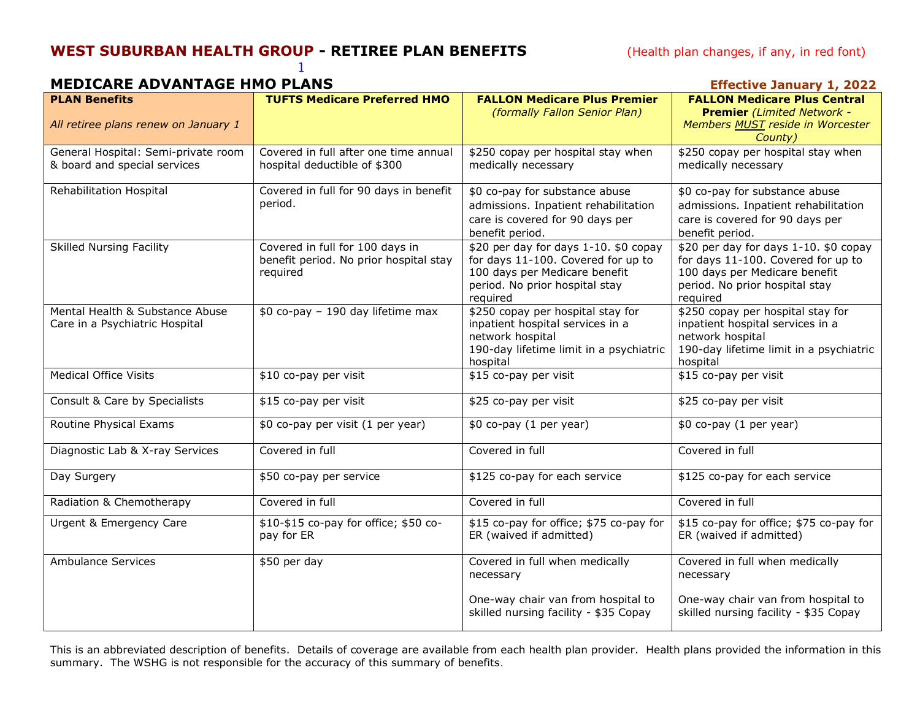# **WEST SUBURBAN HEALTH GROUP - RETIREE PLAN BENEFITS** (Health plan changes, if any, in red font)

1

## **MEDICARE ADVANTAGE HMO PLANS Effective January 1, 2022**

| <b>PLAN Benefits</b><br>All retiree plans renew on January 1        | <b>TUFTS Medicare Preferred HMO</b>                                                   | <b>FALLON Medicare Plus Premier</b><br><i>(formally Fallon Senior Plan)</i>                                                                                | <u>.</u><br><b>FALLON Medicare Plus Central</b><br><b>Premier (Limited Network -</b><br>Members <b>MUST</b> reside in Worcester<br>County)                 |
|---------------------------------------------------------------------|---------------------------------------------------------------------------------------|------------------------------------------------------------------------------------------------------------------------------------------------------------|------------------------------------------------------------------------------------------------------------------------------------------------------------|
| General Hospital: Semi-private room<br>& board and special services | Covered in full after one time annual<br>hospital deductible of \$300                 | \$250 copay per hospital stay when<br>medically necessary                                                                                                  | \$250 copay per hospital stay when<br>medically necessary                                                                                                  |
| Rehabilitation Hospital                                             | Covered in full for 90 days in benefit<br>period.                                     | \$0 co-pay for substance abuse<br>admissions. Inpatient rehabilitation<br>care is covered for 90 days per<br>benefit period.                               | \$0 co-pay for substance abuse<br>admissions. Inpatient rehabilitation<br>care is covered for 90 days per<br>benefit period.                               |
| <b>Skilled Nursing Facility</b>                                     | Covered in full for 100 days in<br>benefit period. No prior hospital stay<br>required | \$20 per day for days 1-10. \$0 copay<br>for days 11-100. Covered for up to<br>100 days per Medicare benefit<br>period. No prior hospital stay<br>required | \$20 per day for days 1-10. \$0 copay<br>for days 11-100. Covered for up to<br>100 days per Medicare benefit<br>period. No prior hospital stay<br>required |
| Mental Health & Substance Abuse<br>Care in a Psychiatric Hospital   | \$0 co-pay - 190 day lifetime max                                                     | \$250 copay per hospital stay for<br>inpatient hospital services in a<br>network hospital<br>190-day lifetime limit in a psychiatric<br>hospital           | \$250 copay per hospital stay for<br>inpatient hospital services in a<br>network hospital<br>190-day lifetime limit in a psychiatric<br>hospital           |
| <b>Medical Office Visits</b>                                        | \$10 co-pay per visit                                                                 | \$15 co-pay per visit                                                                                                                                      | \$15 co-pay per visit                                                                                                                                      |
| Consult & Care by Specialists                                       | \$15 co-pay per visit                                                                 | \$25 co-pay per visit                                                                                                                                      | \$25 co-pay per visit                                                                                                                                      |
| Routine Physical Exams                                              | \$0 co-pay per visit (1 per year)                                                     | \$0 co-pay (1 per year)                                                                                                                                    | \$0 co-pay (1 per year)                                                                                                                                    |
| Diagnostic Lab & X-ray Services                                     | Covered in full                                                                       | Covered in full                                                                                                                                            | Covered in full                                                                                                                                            |
| Day Surgery                                                         | \$50 co-pay per service                                                               | \$125 co-pay for each service                                                                                                                              | \$125 co-pay for each service                                                                                                                              |
| Radiation & Chemotherapy                                            | Covered in full                                                                       | Covered in full                                                                                                                                            | Covered in full                                                                                                                                            |
| Urgent & Emergency Care                                             | \$10-\$15 co-pay for office; \$50 co-<br>pay for ER                                   | \$15 co-pay for office; \$75 co-pay for<br>ER (waived if admitted)                                                                                         | \$15 co-pay for office; \$75 co-pay for<br>ER (waived if admitted)                                                                                         |
| <b>Ambulance Services</b>                                           | \$50 per day                                                                          | Covered in full when medically<br>necessary                                                                                                                | Covered in full when medically<br>necessary                                                                                                                |
|                                                                     |                                                                                       | One-way chair van from hospital to<br>skilled nursing facility - \$35 Copay                                                                                | One-way chair van from hospital to<br>skilled nursing facility - \$35 Copay                                                                                |

This is an abbreviated description of benefits. Details of coverage are available from each health plan provider. Health plans provided the information in this summary. The WSHG is not responsible for the accuracy of this summary of benefits*.*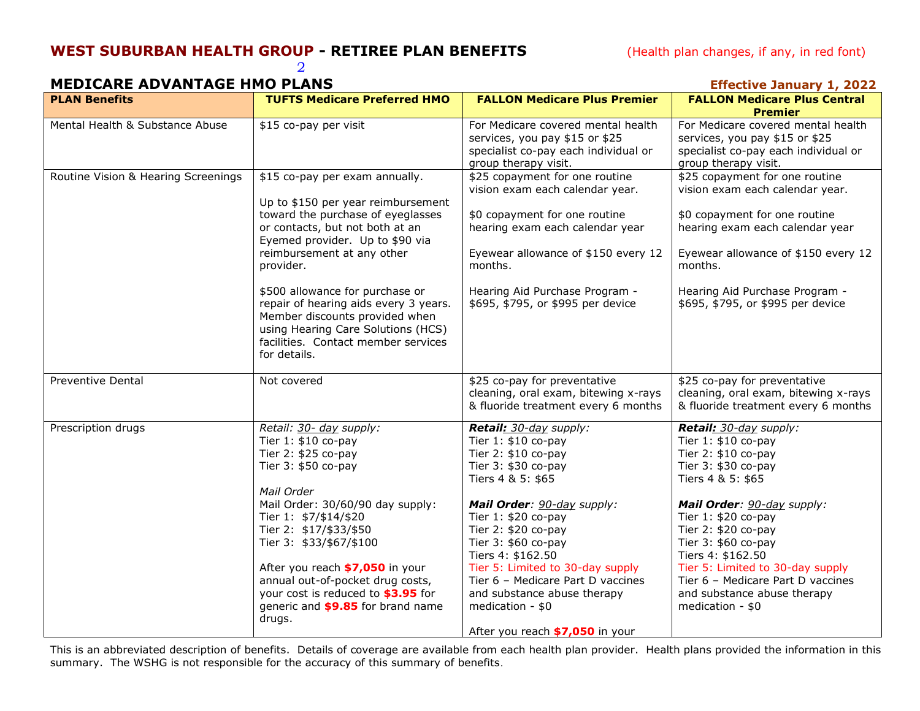### **WEST SUBURBAN HEALTH GROUP - RETIREE PLAN BENEFITS** (Health plan changes, if any, in red font) 2

# **MEDICARE ADVANTAGE HMO PLANS Effective January 1, 2022**

|                                     |                                                                                                                                                                                                                                                                                                                                                                                                                                       |                                                                                                                                                                                                                                                                                                                                                                                                           | .                                                                                                                                                                                                                                                                                                                                                                    |
|-------------------------------------|---------------------------------------------------------------------------------------------------------------------------------------------------------------------------------------------------------------------------------------------------------------------------------------------------------------------------------------------------------------------------------------------------------------------------------------|-----------------------------------------------------------------------------------------------------------------------------------------------------------------------------------------------------------------------------------------------------------------------------------------------------------------------------------------------------------------------------------------------------------|----------------------------------------------------------------------------------------------------------------------------------------------------------------------------------------------------------------------------------------------------------------------------------------------------------------------------------------------------------------------|
| <b>PLAN Benefits</b>                | <b>TUFTS Medicare Preferred HMO</b>                                                                                                                                                                                                                                                                                                                                                                                                   | <b>FALLON Medicare Plus Premier</b>                                                                                                                                                                                                                                                                                                                                                                       | <b>FALLON Medicare Plus Central</b><br><b>Premier</b>                                                                                                                                                                                                                                                                                                                |
| Mental Health & Substance Abuse     | \$15 co-pay per visit                                                                                                                                                                                                                                                                                                                                                                                                                 | For Medicare covered mental health<br>services, you pay \$15 or \$25<br>specialist co-pay each individual or<br>group therapy visit.                                                                                                                                                                                                                                                                      | For Medicare covered mental health<br>services, you pay \$15 or \$25<br>specialist co-pay each individual or<br>group therapy visit.                                                                                                                                                                                                                                 |
| Routine Vision & Hearing Screenings | \$15 co-pay per exam annually.<br>Up to \$150 per year reimbursement<br>toward the purchase of eyeglasses<br>or contacts, but not both at an<br>Eyemed provider. Up to \$90 via<br>reimbursement at any other<br>provider.<br>\$500 allowance for purchase or<br>repair of hearing aids every 3 years.<br>Member discounts provided when<br>using Hearing Care Solutions (HCS)<br>facilities. Contact member services<br>for details. | \$25 copayment for one routine<br>vision exam each calendar year.<br>\$0 copayment for one routine<br>hearing exam each calendar year<br>Eyewear allowance of \$150 every 12<br>months.<br>Hearing Aid Purchase Program -<br>\$695, \$795, or \$995 per device                                                                                                                                            | \$25 copayment for one routine<br>vision exam each calendar year.<br>\$0 copayment for one routine<br>hearing exam each calendar year<br>Eyewear allowance of \$150 every 12<br>months.<br>Hearing Aid Purchase Program -<br>\$695, \$795, or \$995 per device                                                                                                       |
| Preventive Dental                   | Not covered                                                                                                                                                                                                                                                                                                                                                                                                                           | \$25 co-pay for preventative<br>cleaning, oral exam, bitewing x-rays<br>& fluoride treatment every 6 months                                                                                                                                                                                                                                                                                               | \$25 co-pay for preventative<br>cleaning, oral exam, bitewing x-rays<br>& fluoride treatment every 6 months                                                                                                                                                                                                                                                          |
| Prescription drugs                  | Retail: 30- day supply:<br>Tier 1: \$10 co-pay<br>Tier 2: \$25 co-pay<br>Tier 3: \$50 co-pay<br>Mail Order<br>Mail Order: 30/60/90 day supply:<br>Tier 1: \$7/\$14/\$20<br>Tier 2: \$17/\$33/\$50<br>Tier 3: \$33/\$67/\$100<br>After you reach \$7,050 in your<br>annual out-of-pocket drug costs,<br>your cost is reduced to \$3.95 for<br>generic and \$9.85 for brand name<br>drugs.                                              | Retail: 30-day supply:<br>Tier $1: $10 co$ -pay<br>Tier 2: \$10 co-pay<br>Tier 3: \$30 co-pay<br>Tiers 4 & 5: \$65<br>Mail Order: 90-day supply:<br>Tier 1: \$20 co-pay<br>Tier 2: \$20 co-pay<br>Tier 3: \$60 co-pay<br>Tiers 4: \$162.50<br>Tier 5: Limited to 30-day supply<br>Tier 6 - Medicare Part D vaccines<br>and substance abuse therapy<br>medication - \$0<br>After you reach \$7,050 in your | Retail: 30-day supply:<br>Tier 1: \$10 co-pay<br>Tier 2: \$10 co-pay<br>Tier 3: \$30 co-pay<br>Tiers 4 & 5: \$65<br>Mail Order: 90-day supply:<br>Tier 1: \$20 co-pay<br>Tier 2: \$20 co-pay<br>Tier 3: \$60 co-pay<br>Tiers 4: \$162.50<br>Tier 5: Limited to 30-day supply<br>Tier 6 - Medicare Part D vaccines<br>and substance abuse therapy<br>medication - \$0 |

This is an abbreviated description of benefits. Details of coverage are available from each health plan provider. Health plans provided the information in this summary. The WSHG is not responsible for the accuracy of this summary of benefits*.*